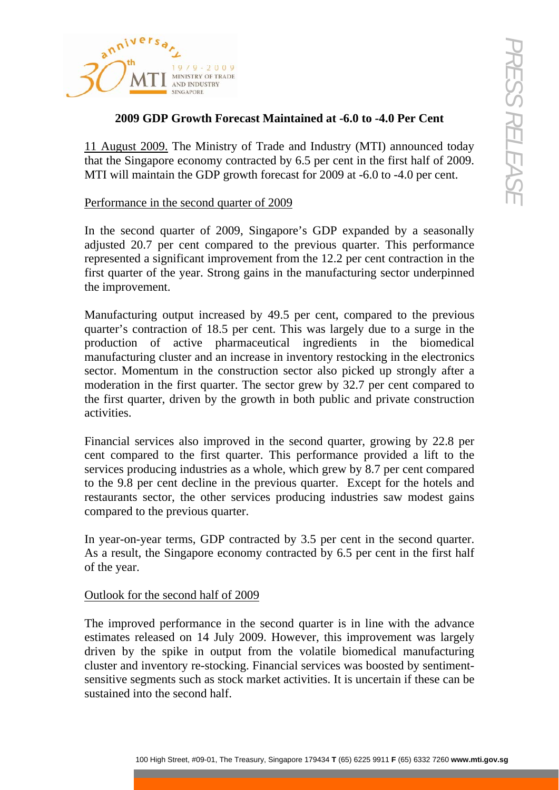

# **2009 GDP Growth Forecast Maintained at -6.0 to -4.0 Per Cent**

11 August 2009. The Ministry of Trade and Industry (MTI) announced today that the Singapore economy contracted by 6.5 per cent in the first half of 2009. MTI will maintain the GDP growth forecast for 2009 at -6.0 to -4.0 per cent.

### Performance in the second quarter of 2009

In the second quarter of 2009, Singapore's GDP expanded by a seasonally adjusted 20.7 per cent compared to the previous quarter. This performance represented a significant improvement from the 12.2 per cent contraction in the first quarter of the year. Strong gains in the manufacturing sector underpinned the improvement.

**EVALUATE:** And the Street of Maintained at 4.6.0 to 4.0 Per Cent  $\sim$  2009. The Ministry of Trade and Industry (MTI) amnumeed today and approprese conomy contracted by 6.5 per cent in the first half of 2009, and maintain Manufacturing output increased by 49.5 per cent, compared to the previous quarter's contraction of 18.5 per cent. This was largely due to a surge in the production of active pharmaceutical ingredients in the biomedical manufacturing cluster and an increase in inventory restocking in the electronics sector. Momentum in the construction sector also picked up strongly after a moderation in the first quarter. The sector grew by 32.7 per cent compared to the first quarter, driven by the growth in both public and private construction activities.

Financial services also improved in the second quarter, growing by 22.8 per cent compared to the first quarter. This performance provided a lift to the services producing industries as a whole, which grew by 8.7 per cent compared to the 9.8 per cent decline in the previous quarter. Except for the hotels and restaurants sector, the other services producing industries saw modest gains compared to the previous quarter.

In year-on-year terms, GDP contracted by 3.5 per cent in the second quarter. As a result, the Singapore economy contracted by 6.5 per cent in the first half of the year.

## Outlook for the second half of 2009

The improved performance in the second quarter is in line with the advance estimates released on 14 July 2009. However, this improvement was largely driven by the spike in output from the volatile biomedical manufacturing cluster and inventory re-stocking. Financial services was boosted by sentimentsensitive segments such as stock market activities. It is uncertain if these can be sustained into the second half.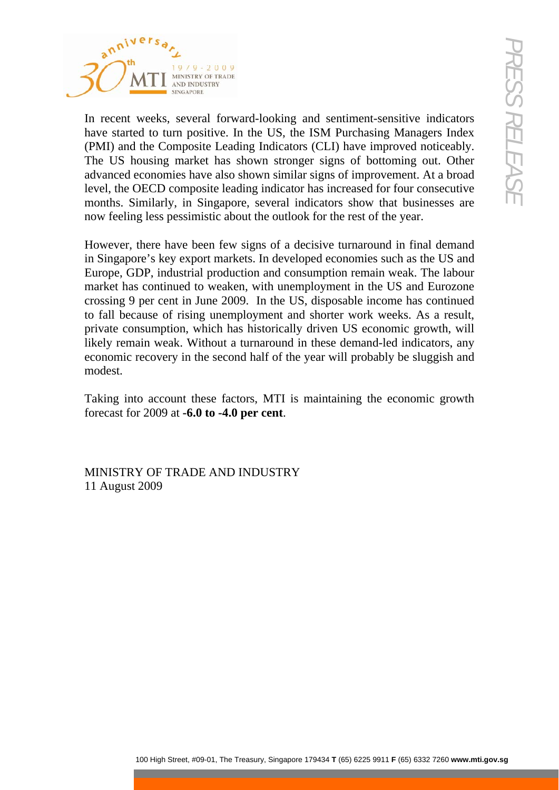

In recent weeks, several forward-looking and sentiment-sensitive indicators have started to turn positive. In the US, the ISM Purchasing Managers Index (PMI) and the Composite Leading Indicators (CLI) have improved noticeably. The US housing market has shown stronger signs of bottoming out. Other advanced economies have also shown similar signs of improvement. At a broad level, the OECD composite leading indicator has increased for four consecutive months. Similarly, in Singapore, several indicators show that businesses are now feeling less pessimistic about the outlook for the rest of the year.

**Example 19** Monthlyng and sentiment-sensitive indicators (The Control out positive line (S. the ESM Patchasing Matagars Index the Composite Leading Indicators (CIT) have improved moticeably. The Treasury state and the CS However, there have been few signs of a decisive turnaround in final demand in Singapore's key export markets. In developed economies such as the US and Europe, GDP, industrial production and consumption remain weak. The labour market has continued to weaken, with unemployment in the US and Eurozone crossing 9 per cent in June 2009. In the US, disposable income has continued to fall because of rising unemployment and shorter work weeks. As a result, private consumption, which has historically driven US economic growth, will likely remain weak. Without a turnaround in these demand-led indicators, any economic recovery in the second half of the year will probably be sluggish and modest.

Taking into account these factors, MTI is maintaining the economic growth forecast for 2009 at **-6.0 to -4.0 per cent**.

MINISTRY OF TRADE AND INDUSTRY 11 August 2009